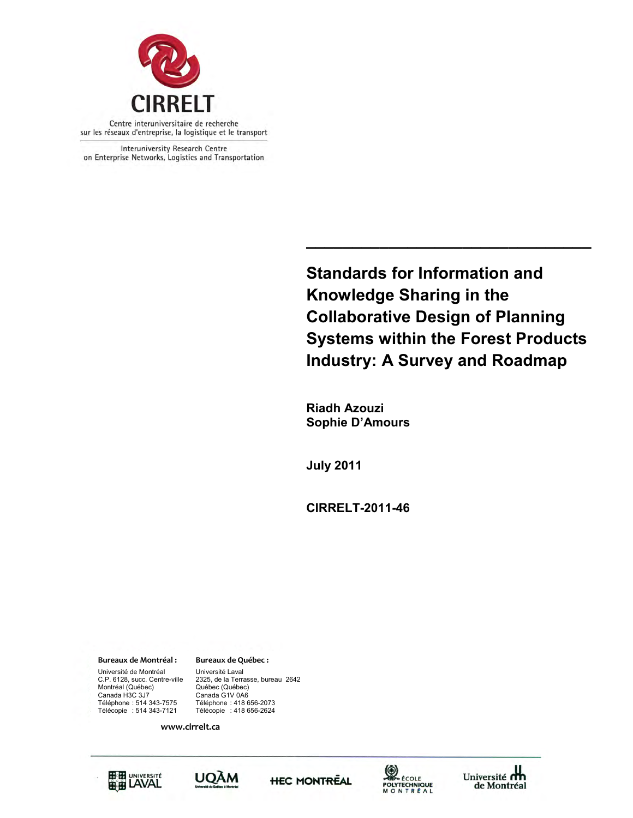

Interuniversity Research Centre on Enterprise Networks, Logistics and Transportation

> **Standards for Information and Knowledge Sharing in the Collaborative Design of Planning Systems within the Forest Products Industry: A Survey and Roadmap**

> **\_\_\_\_\_\_\_\_\_\_\_\_\_\_\_\_\_\_\_\_\_\_\_\_\_\_\_\_\_\_\_**

 **Riadh Azouzi Sophie D'Amours** 

**July 2011**

**CIRRELT-2011-46**

**Bureaux de Montréal : Bureaux de Québec :** Université de Montréal Université Laval<br>C.P. 6128, succ. Centre-ville 2325, de la Terra Montréal (Québec)<br>Canada H3C 3J7

Canada H3C 3J7 Canada G1V 0A6 2325, de la Terrasse, bureau 2642<br>Québec (Québec) Téléphone : 514 343-7575 Téléphone : 418 656-2073 Télécopie : 514 343-7121 Télécopie : 418 656-2624

**www.cirrelt.ca** 









Université **m** de Montréal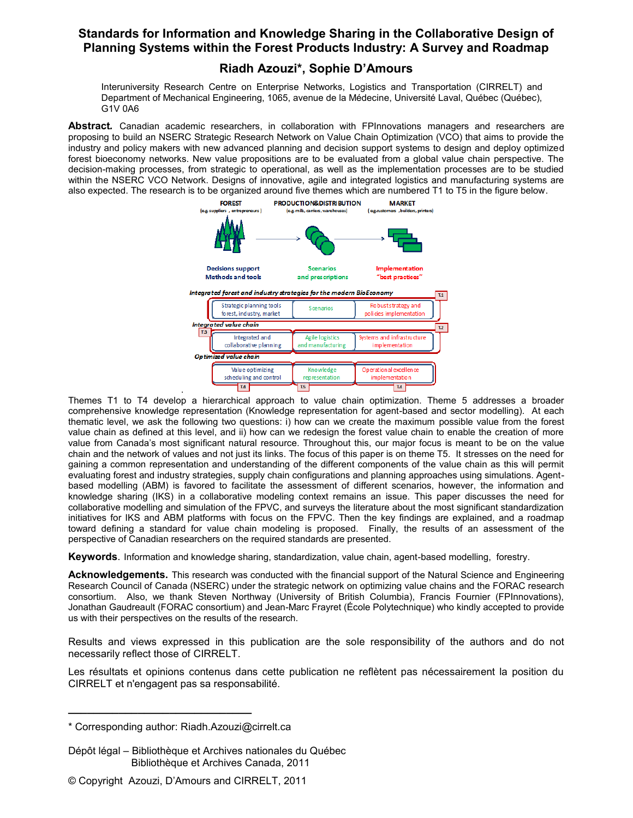# **Riadh Azouzi\*, Sophie D'Amours**

Interuniversity Research Centre on Enterprise Networks, Logistics and Transportation (CIRRELT) and Department of Mechanical Engineering, 1065, avenue de la Médecine, Université Laval, Québec (Québec), G1V 0A6

**Abstract***.* Canadian academic researchers, in collaboration with FPInnovations managers and researchers are proposing to build an NSERC Strategic Research Network on Value Chain Optimization (VCO) that aims to provide the industry and policy makers with new advanced planning and decision support systems to design and deploy optimized forest bioeconomy networks. New value propositions are to be evaluated from a global value chain perspective. The decision-making processes, from strategic to operational, as well as the implementation processes are to be studied within the NSERC VCO Network. Designs of innovative, agile and integrated logistics and manufacturing systems are also expected. The research is to be organized around five themes which are numbered T1 to T5 in the figure below.



. Themes T1 to T4 develop a hierarchical approach to value chain optimization. Theme 5 addresses a broader comprehensive knowledge representation (Knowledge representation for agent-based and sector modelling). At each thematic level, we ask the following two questions: i) how can we create the maximum possible value from the forest value chain as defined at this level, and ii) how can we redesign the forest value chain to enable the creation of more value from Canada's most significant natural resource. Throughout this, our major focus is meant to be on the value chain and the network of values and not just its links. The focus of this paper is on theme T5. It stresses on the need for gaining a common representation and understanding of the different components of the value chain as this will permit evaluating forest and industry strategies, supply chain configurations and planning approaches using simulations. Agentbased modelling (ABM) is favored to facilitate the assessment of different scenarios, however, the information and knowledge sharing (IKS) in a collaborative modeling context remains an issue. This paper discusses the need for collaborative modelling and simulation of the FPVC, and surveys the literature about the most significant standardization initiatives for IKS and ABM platforms with focus on the FPVC. Then the key findings are explained, and a roadmap toward defining a standard for value chain modeling is proposed. Finally, the results of an assessment of the perspective of Canadian researchers on the required standards are presented.

**Keywords**. Information and knowledge sharing, standardization, value chain, agent-based modelling, forestry.

**Acknowledgements.** This research was conducted with the financial support of the Natural Science and Engineering Research Council of Canada (NSERC) under the strategic network on optimizing value chains and the FORAC research consortium. Also, we thank Steven Northway (University of British Columbia), Francis Fournier (FPInnovations), Jonathan Gaudreault (FORAC consortium) and Jean-Marc Frayret (École Polytechnique) who kindly accepted to provide us with their perspectives on the results of the research.

Results and views expressed in this publication are the sole responsibility of the authors and do not necessarily reflect those of CIRRELT.

Les résultats et opinions contenus dans cette publication ne reflètent pas nécessairement la position du CIRRELT et n'engagent pas sa responsabilité.

**\_\_\_\_\_\_\_\_\_\_\_\_\_\_\_\_\_\_\_\_\_\_\_\_\_\_\_\_\_**

<sup>\*</sup> Corresponding author: Riadh.Azouzi@cirrelt.ca

Dépôt légal – Bibliothèque et Archives nationales du Québec Bibliothèque et Archives Canada, 2011

<sup>©</sup> Copyright Azouzi, D'Amours and CIRRELT, 2011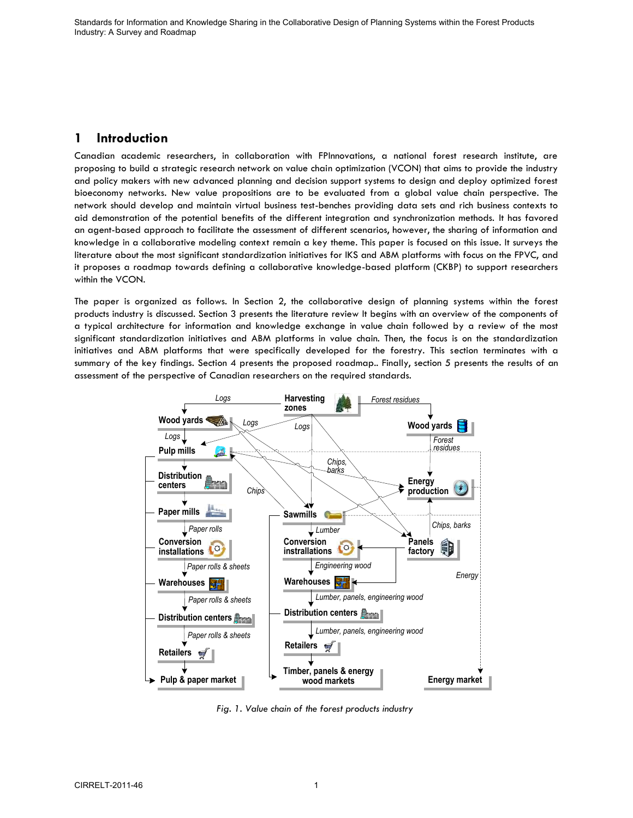# **1 Introduction**

Canadian academic researchers, in collaboration with FPInnovations, a national forest research institute, are proposing to build a strategic research network on value chain optimization (VCON) that aims to provide the industry and policy makers with new advanced planning and decision support systems to design and deploy optimized forest bioeconomy networks. New value propositions are to be evaluated from a global value chain perspective. The network should develop and maintain virtual business test-benches providing data sets and rich business contexts to aid demonstration of the potential benefits of the different integration and synchronization methods. It has favored an agent-based approach to facilitate the assessment of different scenarios, however, the sharing of information and knowledge in a collaborative modeling context remain a key theme. This paper is focused on this issue. It surveys the literature about the most significant standardization initiatives for IKS and ABM platforms with focus on the FPVC, and it proposes a roadmap towards defining a collaborative knowledge-based platform (CKBP) to support researchers within the VCON.

The paper is organized as follows. In Section 2, the collaborative design of planning systems within the forest products industry is discussed. Section 3 presents the literature review It begins with an overview of the components of a typical architecture for information and knowledge exchange in value chain followed by a review of the most significant standardization initiatives and ABM platforms in value chain. Then, the focus is on the standardization initiatives and ABM platforms that were specifically developed for the forestry. This section terminates with a summary of the key findings. Section 4 presents the proposed roadmap.. Finally, section 5 presents the results of an assessment of the perspective of Canadian researchers on the required standards.



*Fig. 1. Value chain of the forest products industry*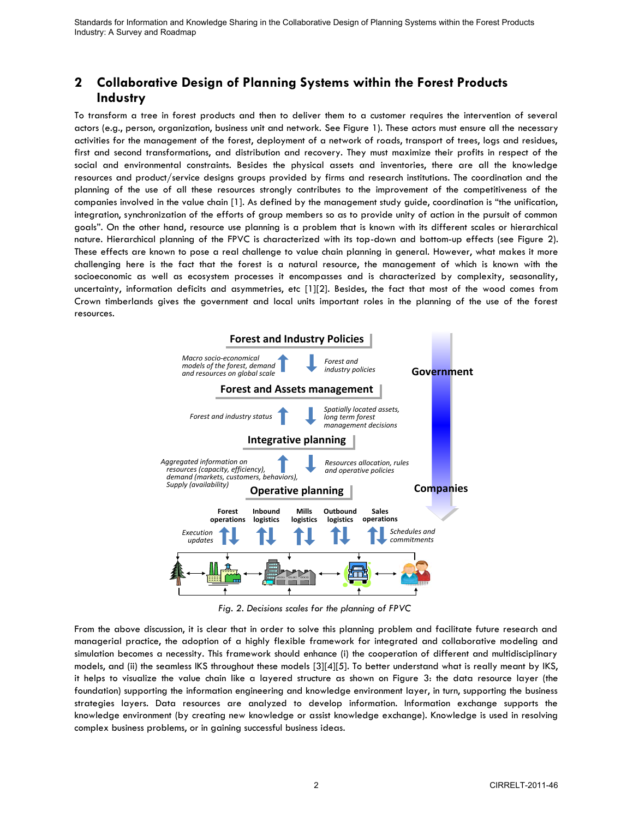# **2 Collaborative Design of Planning Systems within the Forest Products Industry**

To transform a tree in forest products and then to deliver them to a customer requires the intervention of several actors (e.g., person, organization, business unit and network. See Figure 1). These actors must ensure all the necessary activities for the management of the forest, deployment of a network of roads, transport of trees, logs and residues, first and second transformations, and distribution and recovery. They must maximize their profits in respect of the social and environmental constraints. Besides the physical assets and inventories, there are all the knowledge resources and product/service designs groups provided by firms and research institutions. The coordination and the planning of the use of all these resources strongly contributes to the improvement of the competitiveness of the companies involved in the value chain [\[1\].](#page-15-0) As defined by the management study guide, coordination is "the unification, integration, synchronization of the efforts of group members so as to provide unity of action in the pursuit of common goals". On the other hand, resource use planning is a problem that is known with its different scales or hierarchical nature. Hierarchical planning of the FPVC is characterized with its top-down and bottom-up effects (see Figure 2). These effects are known to pose a real challenge to value chain planning in general. However, what makes it more challenging here is the fact that the forest is a natural resource, the management of which is known with the socioeconomic as well as ecosystem processes it encompasses and is characterized by complexity, seasonality, uncertainty, information deficits and asymmetries, etc [\[1\]\[2\].](#page-15-0) Besides, the fact that most of the wood comes from Crown timberlands gives the government and local units important roles in the planning of the use of the forest resources.



*Fig. 2. Decisions scales for the planning of FPVC* 

From the above discussion, it is clear that in order to solve this planning problem and facilitate future research and managerial practice, the adoption of a highly flexible framework for integrated and collaborative modeling and simulation becomes a necessity. This framework should enhance (i) the cooperation of different and multidisciplinary models, and (ii) the seamless IKS throughout these models [\[3\]\[4\]](#page-15-1)[\[5\].](#page-15-2) To better understand what is really meant by IKS, it helps to visualize the value chain like a layered structure as shown on Figure 3: the data resource layer (the foundation) supporting the information engineering and knowledge environment layer, in turn, supporting the business strategies layers. Data resources are analyzed to develop information. Information exchange supports the knowledge environment (by creating new knowledge or assist knowledge exchange). Knowledge is used in resolving complex business problems, or in gaining successful business ideas.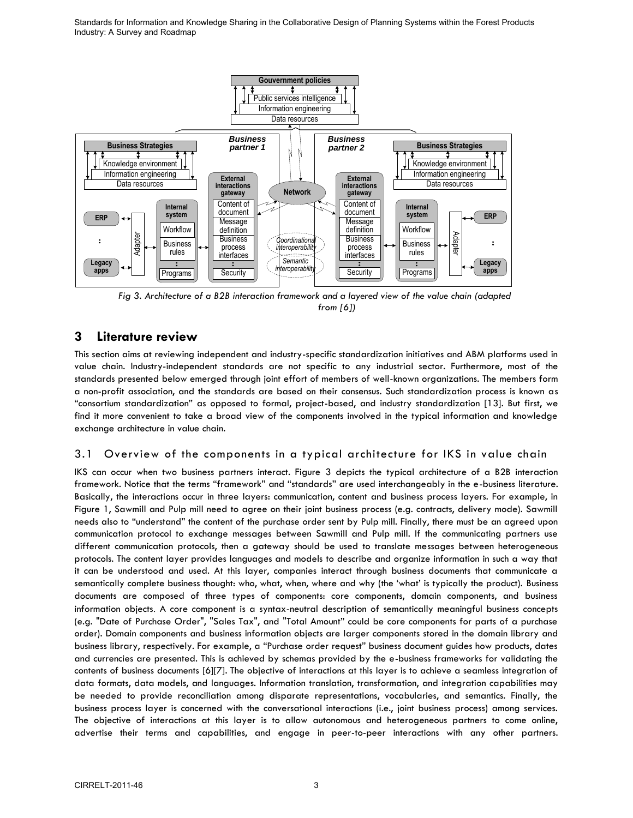

*Fig 3. Architecture of a B2B interaction framework and a layered view of the value chain (adapted from [\[6\]\)](#page-15-3)* 

# **3 Literature review**

This section aims at reviewing independent and industry-specific standardization initiatives and ABM platforms used in value chain. Industry-independent standards are not specific to any industrial sector. Furthermore, most of the standards presented below emerged through joint effort of members of well-known organizations. The members form a non-profit association, and the standards are based on their consensus. Such standardization process is known as "consortium standardization" as opposed to formal, project-based, and industry standardization [\[13\].](#page-15-4) But first, we find it more convenient to take a broad view of the components involved in the typical information and knowledge exchange architecture in value chain.

## 3.1 Overview of the components in a typical architecture for IKS in value chain

IKS can occur when two business partners interact. Figure 3 depicts the typical architecture of a B2B interaction framework. Notice that the terms "framework" and "standards" are used interchangeably in the e-business literature. Basically, the interactions occur in three layers: communication, content and business process layers. For example, in Figure 1, Sawmill and Pulp mill need to agree on their joint business process (e.g. contracts, delivery mode). Sawmill needs also to "understand" the content of the purchase order sent by Pulp mill. Finally, there must be an agreed upon communication protocol to exchange messages between Sawmill and Pulp mill. If the communicating partners use different communication protocols, then a gateway should be used to translate messages between heterogeneous protocols. The content layer provides languages and models to describe and organize information in such a way that it can be understood and used. At this layer, companies interact through business documents that communicate a semantically complete business thought: who, what, when, where and why (the "what" is typically the product). Business documents are composed of three types of components: core components, domain components, and business information objects. A core component is a syntax-neutral description of semantically meaningful business concepts (e.g. "Date of Purchase Order", "Sales Tax", and "Total Amount" could be core components for parts of a purchase order). Domain components and business information objects are larger components stored in the domain library and business library, respectively. For example, a "Purchase order request" business document guides how products, dates and currencies are presented. This is achieved by schemas provided by the e-business frameworks for validating the contents of business documents [\[6\]\[7\].](#page-15-3) The objective of interactions at this layer is to achieve a seamless integration of data formats, data models, and languages. Information translation, transformation, and integration capabilities may be needed to provide reconciliation among disparate representations, vocabularies, and semantics. Finally, the business process layer is concerned with the conversational interactions (i.e., joint business process) among services. The objective of interactions at this layer is to allow autonomous and heterogeneous partners to come online, advertise their terms and capabilities, and engage in peer-to-peer interactions with any other partners.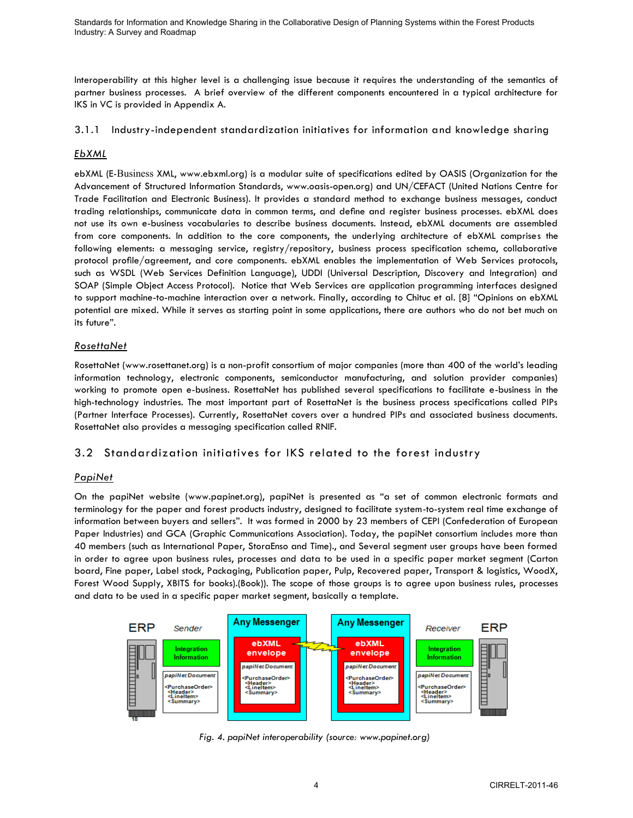Interoperability at this higher level is a challenging issue because it requires the understanding of the semantics of partner business processes. A brief overview of the different components encountered in a typical architecture for IKS in VC is provided in Appendix A.

## 3.1.1 Industry-independent standardization initiatives for information and knowledge sharing

## *EbXML*

ebXML (E-Business XML, [www.ebxml.org\)](http://www.ebxml.org/) is a modular suite of specifications edited by OASIS (Organization for the Advancement of Structured Information Standards, [www.oasis-open.org\)](http://www.oasis-open.org/) and UN/CEFACT (United Nations Centre for Trade Facilitation and Electronic Business). It provides a standard method to exchange business messages, conduct trading relationships, communicate data in common terms, and define and register business processes. ebXML does not use its own e-business vocabularies to describe business documents. Instead, ebXML documents are assembled from core components. In addition to the core components, the underlying architecture of ebXML comprises the following elements: a messaging service, registry/repository, business process specification schema, collaborative protocol profile/agreement, and core components. ebXML enables the implementation of Web Services protocols, such as WSDL (Web Services Definition Language), UDDI (Universal Description, Discovery and Integration) and SOAP (Simple Object Access Protocol). Notice that Web Services are application programming interfaces designed to support machine-to-machine interaction over a network. Finally, according to Chituc et al*.* [8] "Opinions on ebXML potential are mixed. While it serves as starting point in some applications, there are authors who do not bet much on its future".

## *RosettaNet*

RosettaNet (www.rosettanet.org) is a non-profit consortium of major companies (more than 400 of the world"s leading information technology, electronic components, semiconductor manufacturing, and solution provider companies) working to promote open e-business. RosettaNet has published several specifications to facilitate e-business in the high-technology industries. The most important part of RosettaNet is the business process specifications called PIPs (Partner Interface Processes). Currently, RosettaNet covers over a hundred PIPs and associated business documents. RosettaNet also provides a messaging specification called RNIF.

## 3.2 Standardization initiatives for IKS related to the forest industry

## *PapiNet*

On the papiNet website [\(www.papinet.org](http://www.papinet.org/)), papiNet is presented as "a set of common electronic formats and terminology for the paper and forest products industry, designed to facilitate system-to-system real time exchange of information between buyers and sellers". It was formed in 2000 by 23 members of CEPI (Confederation of European Paper Industries) and GCA (Graphic Communications Association). Today, the papiNet consortium includes more than 40 members (such as International Paper, StoraEnso and Time)., and Several segment user groups have been formed in order to agree upon business rules, processes and data to be used in a specific paper market segment (Carton board, Fine paper, Label stock, Packaging, Publication paper, Pulp, Recovered paper, Transport & logistics, WoodX, Forest Wood Supply, XBITS for books).(Book)). The scope of those groups is to agree upon business rules, processes and data to be used in a specific paper market segment, basically a template.



*Fig. 4. papiNet interoperability (source: www.papinet.org)*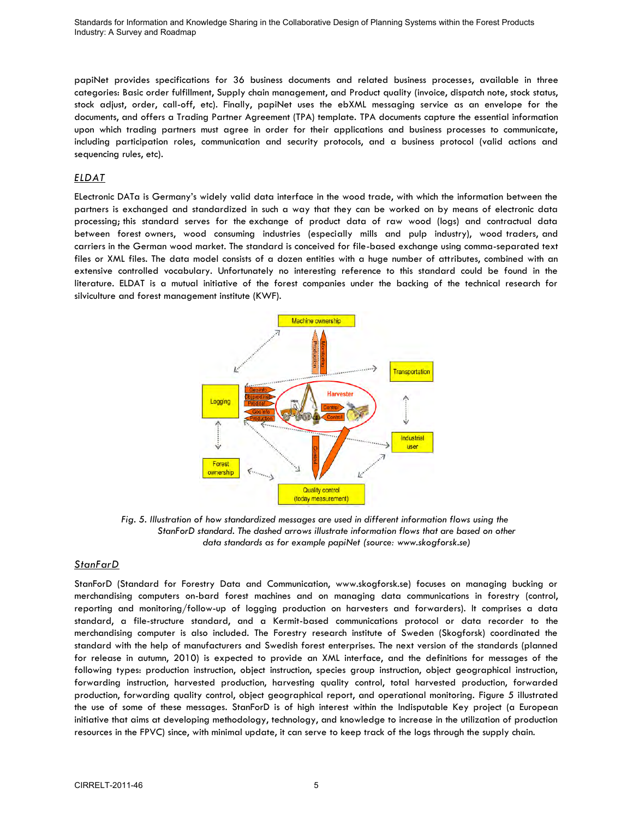papiNet provides specifications for 36 business documents and related business processes, available in three categories: Basic order fulfillment, Supply chain management, and Product quality (invoice, dispatch note, stock status, stock adjust, order, call-off, etc). Finally, papiNet uses the ebXML messaging service as an envelope for the documents, and offers a Trading Partner Agreement (TPA) template. TPA documents capture the essential information upon which trading partners must agree in order for their applications and business processes to communicate, including participation roles, communication and security protocols, and a business protocol (valid actions and sequencing rules, etc).

### *ELDAT*

ELectronic DATa is Germany"s widely valid data interface in the wood trade, with which the information between the partners is exchanged and standardized in such a way that they can be worked on by means of electronic data processing; this standard serves for the exchange of product data of raw wood (logs) and contractual data between forest owners, wood consuming industries (especially mills and pulp industry), wood traders, and carriers in the German wood market. The standard is conceived for file-based exchange using comma-separated text files or XML files. The data model consists of a dozen entities with a huge number of attributes, combined with an extensive controlled vocabulary. Unfortunately no interesting reference to this standard could be found in the literature. ELDAT is a mutual initiative of the forest companies under the backing of the technical research for silviculture and forest management institute (KWF).



*Fig. 5. Illustration of how standardized messages are used in different information flows using the StanForD standard. The dashed arrows illustrate information flows that are based on other data standards as for example papiNet (source: [www.skogforsk.se\)](http://www.skogforsk.se/)* 

### *StanFarD*

StanForD (Standard for Forestry Data and Communication, www.skogforsk.se) focuses on managing bucking or merchandising computers on-bard forest machines and on managing data communications in forestry (control, reporting and monitoring/follow-up of logging production on harvesters and forwarders). It comprises a data standard, a file-structure standard, and a Kermit-based communications protocol or data recorder to the merchandising computer is also included. The Forestry research institute of Sweden (Skogforsk) coordinated the standard with the help of manufacturers and Swedish forest enterprises. The next version of the standards (planned for release in autumn, 2010) is expected to provide an XML interface, and the definitions for messages of the following types: production instruction, object instruction, species group instruction, object geographical instruction, forwarding instruction, harvested production, harvesting quality control, total harvested production, forwarded production, forwarding quality control, object geographical report, and operational monitoring. Figure 5 illustrated the use of some of these messages. StanForD is of high interest within the Indisputable Key project (a European initiative that aims at developing methodology, technology, and knowledge to increase in the utilization of production resources in the FPVC) since, with minimal update, it can serve to keep track of the logs through the supply chain.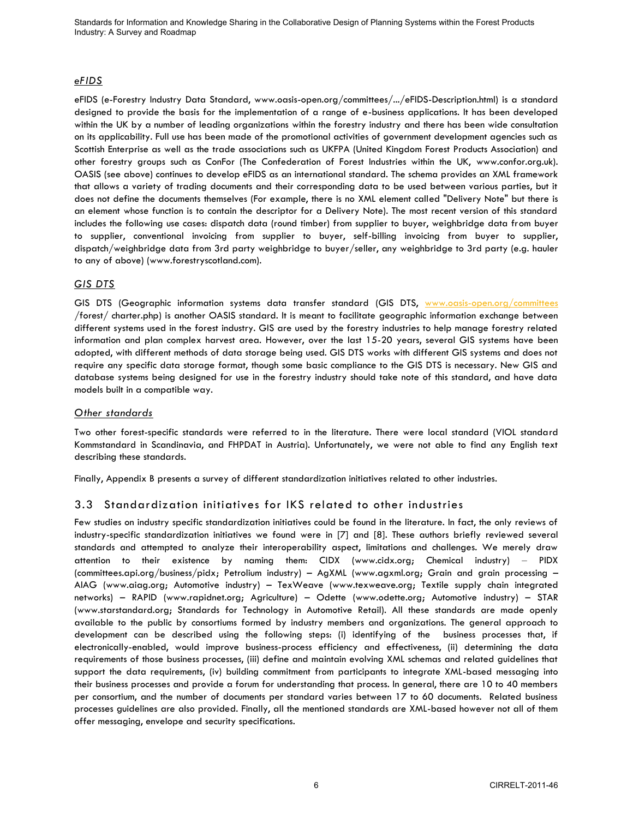### *eFIDS*

eFIDS (e-Forestry Industry Data Standard, www.oasis-open.org/committees/.../eFIDS-Description.html) is a standard designed to provide the basis for the implementation of a range of e-business applications. It has been developed within the UK by a number of leading organizations within the forestry industry and there has been wide consultation on its applicability. Full use has been made of the promotional activities of government development agencies such as Scottish Enterprise as well as the trade associations such as UKFPA (United Kingdom Forest Products Association) and other forestry groups such as ConFor (The Confederation of Forest Industries within the UK, www.confor.org.uk). OASIS (see above) continues to develop eFIDS as an international standard. The schema provides an XML framework that allows a variety of trading documents and their corresponding data to be used between various parties, but it does not define the documents themselves (For example, there is no XML element called "Delivery Note" but there is an element whose function is to contain the descriptor for a Delivery Note). The most recent version of this standard includes the following use cases: dispatch data (round timber) from supplier to buyer, weighbridge data from buyer to supplier, conventional invoicing from supplier to buyer, self-billing invoicing from buyer to supplier, dispatch/weighbridge data from 3rd party weighbridge to buyer/seller, any weighbridge to 3rd party (e.g. hauler to any of above) (www.forestryscotland.com).

## *GIS DTS*

GIS DTS (Geographic information systems data transfer standard (GIS DTS, [www.oasis-open.org/committees](http://www.oasis-open.org/committees) /forest/ charter.php) is another OASIS standard. It is meant to facilitate geographic information exchange between different systems used in the forest industry. GIS are used by the forestry industries to help manage forestry related information and plan complex harvest area. However, over the last 15-20 years, several GIS systems have been adopted, with different methods of data storage being used. GIS DTS works with different GIS systems and does not require any specific data storage format, though some basic compliance to the GIS DTS is necessary. New GIS and database systems being designed for use in the forestry industry should take note of this standard, and have data models built in a compatible way.

### *Other standards*

Two other forest-specific standards were referred to in the literature. There were local standard (VIOL standard Kommstandard in Scandinavia, and FHPDAT in Austria). Unfortunately, we were not able to find any English text describing these standards.

Finally, Appendix B presents a survey of different standardization initiatives related to other industries.

## 3.3 Standardization initiatives for IKS related to other industries

Few studies on industry specific standardization initiatives could be found in the literature. In fact, the only reviews of industry-specific standardization initiatives we found were in [\[7\]](#page-15-5) and [\[8\].](#page-15-6) These authors briefly reviewed several standards and attempted to analyze their interoperability aspect, limitations and challenges. We merely draw attention to their existence by naming them: CIDX [\(www.cidx.org;](http://www.cidx.org/) Chemical industry) – PIDX [\(committees.api.org/business/pidx;](http://committees.api.org/business/pidx) Petrolium industry) – AgXML (www.agxml.org; Grain and grain processing – AIAG [\(www.aiag.org;](http://www.aiag.org/) Automotive industry) – TexWeave [\(www.texweave.org;](http://www.texweave.org/) Textile supply chain integrated networks) – RAPID (www.rapidnet.org; Agriculture) – Odette [\(www.odette.org;](http://www.odette.org/) Automotive industry) – STAR [\(www.starstandard.org;](http://www.starstandard.org/) Standards for Technology in Automotive Retail). All these standards are made openly available to the public by consortiums formed by industry members and organizations. The general approach to development can be described using the following steps: (i) identifying of the business processes that, if electronically-enabled, would improve business-process efficiency and effectiveness, (ii) determining the data requirements of those business processes, (iii) define and maintain evolving XML schemas and related guidelines that support the data requirements, (iv) building commitment from participants to integrate XML-based messaging into their business processes and provide a forum for understanding that process. In general, there are 10 to 40 members per consortium, and the number of documents per standard varies between 17 to 60 documents. Related business processes guidelines are also provided. Finally, all the mentioned standards are XML-based however not all of them offer messaging, envelope and security specifications.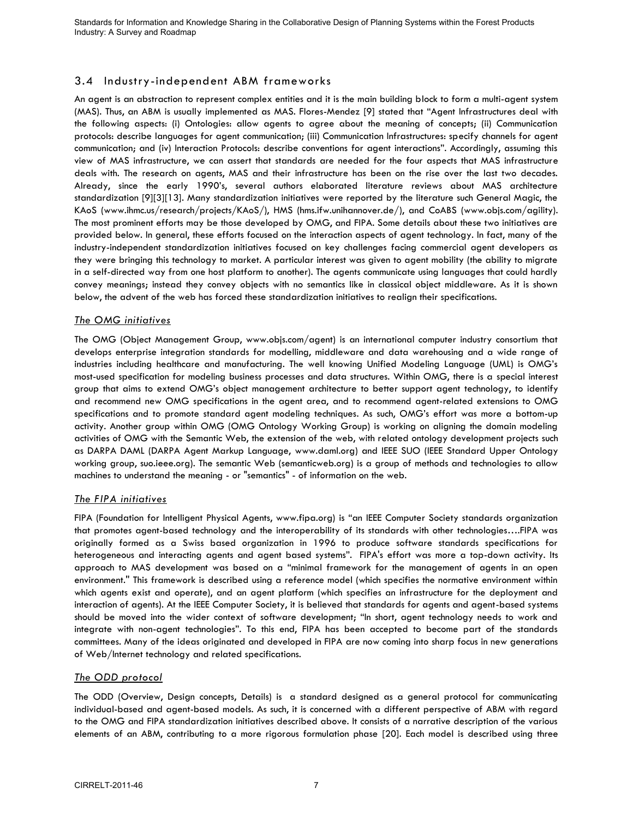## 3.4 Industry-independent ABM frameworks

An agent is an abstraction to represent complex entities and it is the main building block to form a multi-agent system (MAS). Thus, an ABM is usually implemented as MAS. Flores-Mendez [\[9\]](#page-15-7) stated that "Agent Infrastructures deal with the following aspects: (i) Ontologies: allow agents to agree about the meaning of concepts; (ii) Communication protocols: describe languages for agent communication; (iii) Communication Infrastructures: specify channels for agent communication; and (iv) Interaction Protocols: describe conventions for agent interactions". Accordingly, assuming this view of MAS infrastructure, we can assert that standards are needed for the four aspects that MAS infrastructure deals with. The research on agents, MAS and their infrastructure has been on the rise over the last two decades. Already, since the early 1990"s, several authors elaborated literature reviews about MAS architecture standardization [\[9\]\[3\]](#page-15-7)[\[13\].](#page-15-4) Many standardization initiatives were reported by the literature such General Magic, the KAoS (www.ihmc.us/research/projects/KAoS/), HMS (hms.ifw.unihannover.de/), and CoABS (www.objs.com/agility). The most prominent efforts may be those developed by OMG, and FIPA. Some details about these two initiatives are provided below. In general, these efforts focused on the interaction aspects of agent technology. In fact, many of the industry-independent standardization initiatives focused on key challenges facing commercial agent developers as they were bringing this technology to market. A particular interest was given to agent mobility (the ability to migrate in a self-directed way from one host platform to another). The agents communicate using languages that could hardly convey meanings; instead they convey objects with no semantics like in classical object middleware. As it is shown below, the advent of the web has forced these standardization initiatives to realign their specifications.

### *The OMG initiatives*

The OMG (Object Management Group, www.objs.com/agent) is an international computer industry consortium that develops enterprise integration standards for modelling, middleware and data warehousing and a wide range of industries including healthcare and manufacturing. The well knowing Unified Modeling Language (UML) is OMG"s most-used specification for modeling business processes and data structures. Within OMG, there is a special interest group that aims to extend OMG"s object management architecture to better support agent technology, to identify and recommend new OMG specifications in the agent area, and to recommend agent-related extensions to OMG specifications and to promote standard agent modeling techniques. As such, OMG"s effort was more a bottom-up activity. Another group within OMG (OMG Ontology Working Group) is working on aligning the domain modeling activities of OMG with the Semantic Web, the extension of the web, with related ontology development projects such as DARPA DAML (DARPA Agent Markup Language, www.daml.org) and IEEE SUO (IEEE Standard Upper Ontology working group, suo.ieee.org). The semantic Web (semanticweb.org) is a group of methods and technologies to allow machines to understand the meaning - or "semantics" - of information on the web.

### *The FIPA initiatives*

FIPA (Foundation for Intelligent Physical Agents, www.fipa.org) is "an IEEE Computer Society standards organization that promotes agent-based technology and the interoperability of its standards with other technologies….FIPA was originally formed as a Swiss based organization in 1996 to produce software standards specifications for heterogeneous and interacting agents and agent based systems". FIPA's effort was more a top-down activity. Its approach to MAS development was based on a "minimal framework for the management of agents in an open environment.'' This framework is described using a reference model (which specifies the normative environment within which agents exist and operate), and an agent platform (which specifies an infrastructure for the deployment and interaction of agents). At the IEEE Computer Society, it is believed that standards for agents and agent-based systems should be moved into the wider context of software development; "In short, agent technology needs to work and integrate with non-agent technologies". To this end, FIPA has been accepted to become part of the standards committees. Many of the ideas originated and developed in FIPA are now coming into sharp focus in new generations of Web/Internet technology and related specifications.

### *The ODD protocol*

The ODD (Overview, Design concepts, Details) is a standard designed as a general protocol for communicating individual-based and agent-based models. As such, it is concerned with a different perspective of ABM with regard to the OMG and FIPA standardization initiatives described above. It consists of a narrative description of the various elements of an ABM, contributing to a more rigorous formulation phase [\[20\].](#page-16-0) Each model is described using three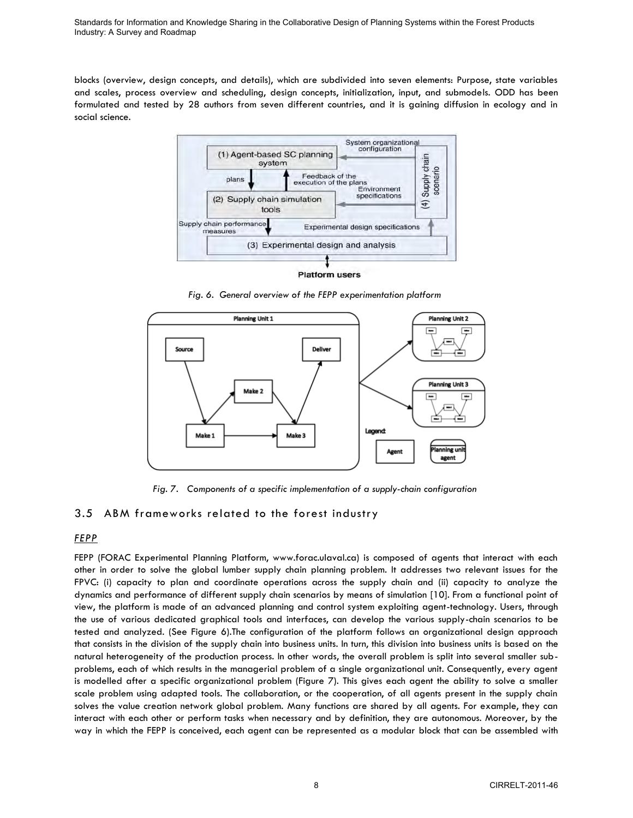blocks (overview, design concepts, and details), which are subdivided into seven elements: Purpose, state variables and scales, process overview and scheduling, design concepts, initialization, input, and submodels. ODD has been formulated and tested by 28 authors from seven different countries, and it is gaining diffusion in ecology and in social science.



*Fig. 6. General overview of the FEPP experimentation platform* 



*Fig. 7. Components of a specific implementation of a supply-chain configuration* 

# 3.5 ABM frameworks related to the forest industry

### *FEPP*

FEPP (FORAC Experimental Planning Platform, www.forac.ulaval.ca) is composed of agents that interact with each other in order to solve the global lumber supply chain planning problem. It addresses two relevant issues for the FPVC: (i) capacity to plan and coordinate operations across the supply chain and (ii) capacity to analyze the dynamics and performance of different supply chain scenarios by means of simulation [\[10\].](#page-15-8) From a functional point of view, the platform is made of an advanced planning and control system exploiting agent-technology. Users, through the use of various dedicated graphical tools and interfaces, can develop the various supply-chain scenarios to be tested and analyzed. (See Figure 6).The configuration of the platform follows an organizational design approach that consists in the division of the supply chain into business units. In turn, this division into business units is based on the natural heterogeneity of the production process. In other words, the overall problem is split into several smaller subproblems, each of which results in the managerial problem of a single organizational unit. Consequently, every agent is modelled after a specific organizational problem (Figure 7). This gives each agent the ability to solve a smaller scale problem using adapted tools. The collaboration, or the cooperation, of all agents present in the supply chain solves the value creation network global problem. Many functions are shared by all agents. For example, they can interact with each other or perform tasks when necessary and by definition, they are autonomous. Moreover, by the way in which the FEPP is conceived, each agent can be represented as a modular block that can be assembled with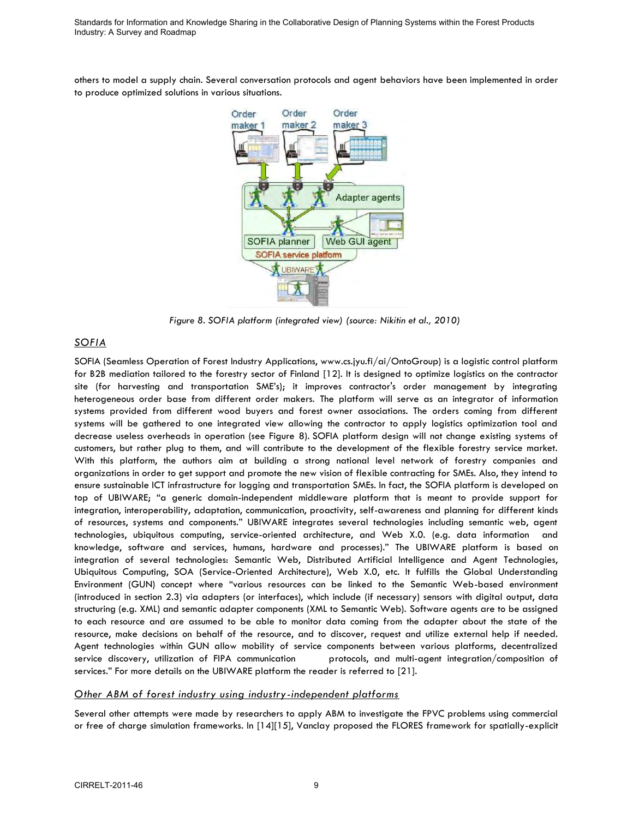others to model a supply chain. Several conversation protocols and agent behaviors have been implemented in order to produce optimized solutions in various situations.



*Figure 8. SOFIA platform (integrated view) (source: Nikitin et al., 2010)* 

### *SOFIA*

SOFIA (Seamless Operation of Forest Industry Applications, www.cs.jyu.fi/ai/OntoGroup) is a logistic control platform for B2B mediation tailored to the forestry sector of Finland [12]. It is designed to optimize logistics on the contractor site (for harvesting and transportation SME"s); it improves contractor's order management by integrating heterogeneous order base from different order makers. The platform will serve as an integrator of information systems provided from different wood buyers and forest owner associations. The orders coming from different systems will be gathered to one integrated view allowing the contractor to apply logistics optimization tool and decrease useless overheads in operation (see Figure 8). SOFIA platform design will not change existing systems of customers, but rather plug to them, and will contribute to the development of the flexible forestry service market. With this platform, the authors aim at building a strong national level network of forestry companies and organizations in order to get support and promote the new vision of flexible contracting for SMEs. Also, they intend to ensure sustainable ICT infrastructure for logging and transportation SMEs. In fact, the SOFIA platform is developed on top of UBIWARE; "a generic domain-independent middleware platform that is meant to provide support for integration, interoperability, adaptation, communication, proactivity, self-awareness and planning for different kinds of resources, systems and components." UBIWARE integrates several technologies including semantic web, agent technologies, ubiquitous computing, service-oriented architecture, and Web X.0. (e.g. data information and knowledge, software and services, humans, hardware and processes)." The UBIWARE platform is based on integration of several technologies: Semantic Web, Distributed Artificial Intelligence and Agent Technologies, Ubiquitous Computing, SOA (Service-Oriented Architecture), Web X.0, etc. It fulfills the Global Understanding Environment (GUN) concept where "various resources can be linked to the Semantic Web-based environment (introduced in section 2.3) via adapters (or interfaces), which include (if necessary) sensors with digital output, data structuring (e.g. XML) and semantic adapter components (XML to Semantic Web). Software agents are to be assigned to each resource and are assumed to be able to monitor data coming from the adapter about the state of the resource, make decisions on behalf of the resource, and to discover, request and utilize external help if needed. Agent technologies within GUN allow mobility of service components between various platforms, decentralized service discovery, utilization of FIPA communication protocols, and multi-agent integration/composition of services." For more details on the UBIWARE platform the reader is referred to [\[21\].](#page-16-1)

### *Other ABM of forest industry using industry-independent platforms*

Several other attempts were made by researchers to apply ABM to investigate the FPVC problems using commercial or free of charge simulation frameworks. In [\[14\]\[15\],](#page-15-9) Vanclay proposed the FLORES framework for spatially-explicit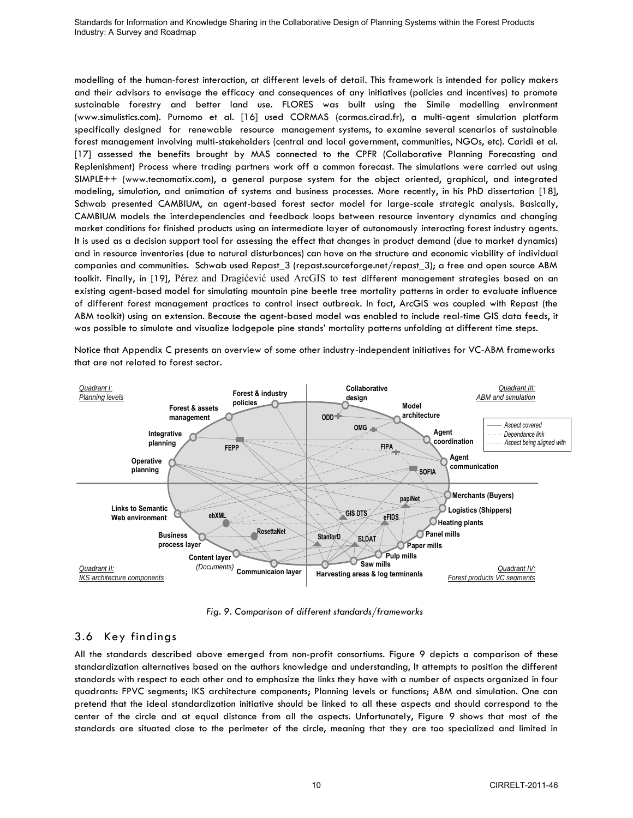modelling of the human-forest interaction, at different levels of detail. This framework is intended for policy makers and their advisors to envisage the efficacy and consequences of any initiatives (policies and incentives) to promote sustainable forestry and better land use. FLORES was built using the Simile modelling environment (www.simulistics.com). Purnomo et al. [\[16\]](#page-15-10) used CORMAS (cormas.cirad.fr), a multi-agent simulation platform specifically designed for renewable resource management systems, to examine several scenarios of sustainable forest management involving multi-stakeholders (central and local government, communities, NGOs, etc). Caridi et al. [\[17\]](#page-16-2) assessed the benefits brought by MAS connected to the CPFR (Collaborative Planning Forecasting and Replenishment) Process where trading partners work off a common forecast. The simulations were carried out using SIMPLE++ (www.tecnomatix.com), a general purpose system for the object oriented, graphical, and integrated modeling, simulation, and animation of systems and business processes. More recently, in his PhD dissertation [\[18\],](#page-16-3) Schwab presented CAMBIUM, an agent-based forest sector model for large-scale strategic analysis. Basically, CAMBIUM models the interdependencies and feedback loops between resource inventory dynamics and changing market conditions for finished products using an intermediate layer of autonomously interacting forest industry agents. It is used as a decision support tool for assessing the effect that changes in product demand (due to market dynamics) and in resource inventories (due to natural disturbances) can have on the structure and economic viability of individual companies and communities. Schwab used Repast\_3 (repast.sourceforge.net/repast\_3); a free and open source ABM toolkit. Finally, in [\[19\],](#page-16-4) Pérez and Dragićević used ArcGIS to test different management strategies based on an existing agent-based model for simulating mountain pine beetle tree mortality patterns in order to evaluate influence of different forest management practices to control insect outbreak. In fact, ArcGIS was coupled with Repast (the ABM toolkit) using an extension. Because the agent-based model was enabled to include real-time GIS data feeds, it was possible to simulate and visualize lodgepole pine stands" mortality patterns unfolding at different time steps.

Notice that Appendix C presents an overview of some other industry-independent initiatives for VC-ABM frameworks that are not related to forest sector.



*Fig. 9. Comparison of different standards/frameworks* 

## 3.6 Key findings

All the standards described above emerged from non-profit consortiums. Figure 9 depicts a comparison of these standardization alternatives based on the authors knowledge and understanding, It attempts to position the different standards with respect to each other and to emphasize the links they have with a number of aspects organized in four quadrants: FPVC segments; IKS architecture components; Planning levels or functions; ABM and simulation. One can pretend that the ideal standardization initiative should be linked to all these aspects and should correspond to the center of the circle and at equal distance from all the aspects. Unfortunately, Figure 9 shows that most of the standards are situated close to the perimeter of the circle, meaning that they are too specialized and limited in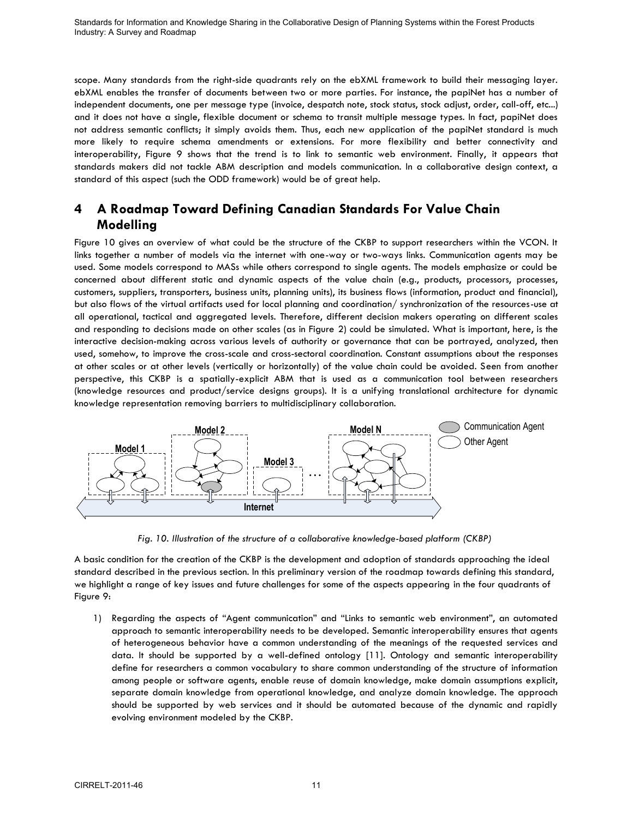scope. Many standards from the right-side quadrants rely on the ebXML framework to build their messaging layer. ebXML enables the transfer of documents between two or more parties. For instance, the papiNet has a number of independent documents, one per message type (invoice, despatch note, stock status, stock adjust, order, call-off, etc...) and it does not have a single, flexible document or schema to transit multiple message types. In fact, papiNet does not address semantic conflicts; it simply avoids them. Thus, each new application of the papiNet standard is much more likely to require schema amendments or extensions. For more flexibility and better connectivity and interoperability, Figure 9 shows that the trend is to link to semantic web environment. Finally, it appears that standards makers did not tackle ABM description and models communication. In a collaborative design context, a standard of this aspect (such the ODD framework) would be of great help.

# **4 A Roadmap Toward Defining Canadian Standards For Value Chain Modelling**

Figure 10 gives an overview of what could be the structure of the CKBP to support researchers within the VCON. It links together a number of models via the internet with one-way or two-ways links. Communication agents may be used. Some models correspond to MASs while others correspond to single agents. The models emphasize or could be concerned about different static and dynamic aspects of the value chain (e.g., products, processors, processes, customers, suppliers, transporters, business units, planning units), its business flows (information, product and financial), but also flows of the virtual artifacts used for local planning and coordination/ synchronization of the resources-use at all operational, tactical and aggregated levels. Therefore, different decision makers operating on different scales and responding to decisions made on other scales (as in Figure 2) could be simulated. What is important, here, is the interactive decision-making across various levels of authority or governance that can be portrayed, analyzed, then used, somehow, to improve the cross-scale and cross-sectoral coordination. Constant assumptions about the responses at other scales or at other levels (vertically or horizontally) of the value chain could be avoided. Seen from another perspective, this CKBP is a spatially-explicit ABM that is used as a communication tool between researchers (knowledge resources and product/service designs groups). It is a unifying translational architecture for dynamic knowledge representation removing barriers to multidisciplinary collaboration.



*Fig. 10. Illustration of the structure of a collaborative knowledge-based platform (CKBP)* 

A basic condition for the creation of the CKBP is the development and adoption of standards approaching the ideal standard described in the previous section. In this preliminary version of the roadmap towards defining this standard, we highlight a range of key issues and future challenges for some of the aspects appearing in the four quadrants of Figure 9:

1) Regarding the aspects of "Agent communication" and "Links to semantic web environment", an automated approach to semantic interoperability needs to be developed. Semantic interoperability ensures that agents of heterogeneous behavior have a common understanding of the meanings of the requested services and data. It should be supported by a well-defined ontology [11]. Ontology and semantic interoperability define for researchers a common vocabulary to share common understanding of the structure of information among people or software agents, enable reuse of domain knowledge, make domain assumptions explicit, separate domain knowledge from operational knowledge, and analyze domain knowledge. The approach should be supported by web services and it should be automated because of the dynamic and rapidly evolving environment modeled by the CKBP.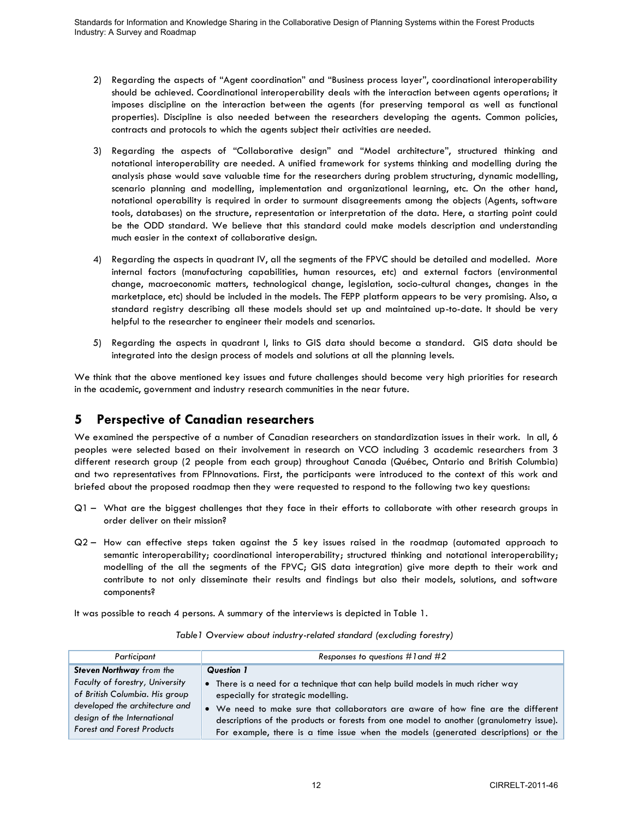- 2) Regarding the aspects of "Agent coordination" and "Business process layer", coordinational interoperability should be achieved. Coordinational interoperability deals with the interaction between agents operations; it imposes discipline on the interaction between the agents (for preserving temporal as well as functional properties). Discipline is also needed between the researchers developing the agents. Common policies, contracts and protocols to which the agents subject their activities are needed.
- 3) Regarding the aspects of "Collaborative design" and "Model architecture", structured thinking and notational interoperability are needed. A unified framework for systems thinking and modelling during the analysis phase would save valuable time for the researchers during problem structuring, dynamic modelling, scenario planning and modelling, implementation and organizational learning, etc. On the other hand, notational operability is required in order to surmount disagreements among the objects (Agents, software tools, databases) on the structure, representation or interpretation of the data. Here, a starting point could be the ODD standard. We believe that this standard could make models description and understanding much easier in the context of collaborative design.
- 4) Regarding the aspects in quadrant IV, all the segments of the FPVC should be detailed and modelled. More internal factors (manufacturing capabilities, human resources, etc) and external factors (environmental change, macroeconomic matters, technological change, legislation, socio-cultural changes, changes in the marketplace, etc) should be included in the models. The FEPP platform appears to be very promising. Also, a standard registry describing all these models should set up and maintained up-to-date. It should be very helpful to the researcher to engineer their models and scenarios.
- 5) Regarding the aspects in quadrant I, links to GIS data should become a standard. GIS data should be integrated into the design process of models and solutions at all the planning levels.

We think that the above mentioned key issues and future challenges should become very high priorities for research in the academic, government and industry research communities in the near future.

# **5 Perspective of Canadian researchers**

We examined the perspective of a number of Canadian researchers on standardization issues in their work. In all, 6 peoples were selected based on their involvement in research on VCO including 3 academic researchers from 3 different research group (2 people from each group) throughout Canada (Québec, Ontario and British Columbia) and two representatives from FPInnovations. First, the participants were introduced to the context of this work and briefed about the proposed roadmap then they were requested to respond to the following two key questions:

- Q1 What are the biggest challenges that they face in their efforts to collaborate with other research groups in order deliver on their mission?
- Q2 How can effective steps taken against the 5 key issues raised in the roadmap (automated approach to semantic interoperability; coordinational interoperability; structured thinking and notational interoperability; modelling of the all the segments of the FPVC; GIS data integration) give more depth to their work and contribute to not only disseminate their results and findings but also their models, solutions, and software components?

It was possible to reach 4 persons. A summary of the interviews is depicted in Table 1.

| Participant                                                                                                                                                             | Responses to questions $\#$ l and $\#2$                                                                                                                                                                                                                                                                                                                                                      |
|-------------------------------------------------------------------------------------------------------------------------------------------------------------------------|----------------------------------------------------------------------------------------------------------------------------------------------------------------------------------------------------------------------------------------------------------------------------------------------------------------------------------------------------------------------------------------------|
| <b>Steven Northway</b> from the                                                                                                                                         | Question 1                                                                                                                                                                                                                                                                                                                                                                                   |
| Faculty of forestry, University<br>of British Columbia. His group<br>developed the architecture and<br>design of the International<br><b>Forest and Forest Products</b> | • There is a need for a technique that can help build models in much richer way<br>especially for strategic modelling.<br>• We need to make sure that collaborators are aware of how fine are the different<br>descriptions of the products or forests from one model to another (granulometry issue).<br>For example, there is a time issue when the models (generated descriptions) or the |

*Table1 Overview about industry-related standard (excluding forestry)*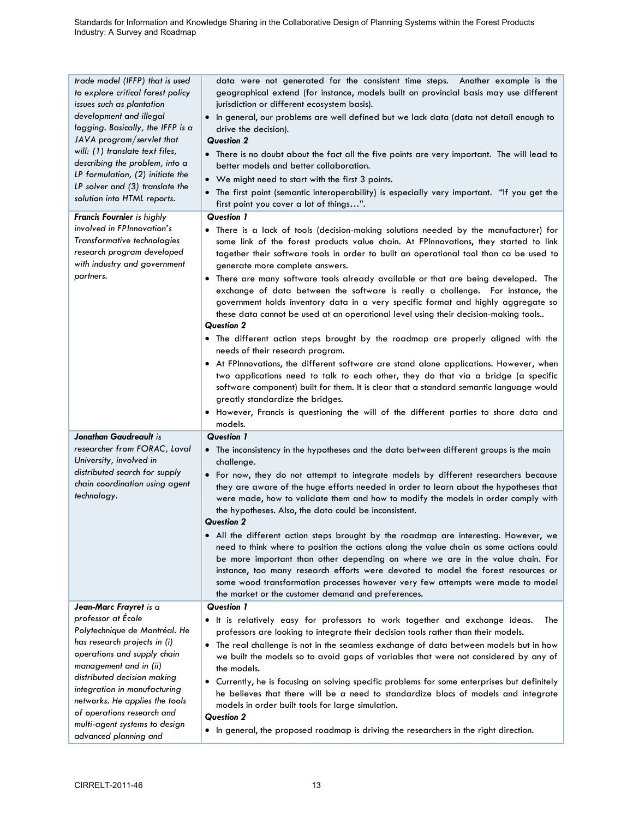| trade model (IFFP) that is used<br>to explore critical forest policy<br>issues such as plantation<br>development and illegal<br>logging. Basically, the IFFP is a<br>JAVA program/servlet that<br>will: (1) translate text files,<br>describing the problem, into a<br>LP formulation, (2) initiate the<br>LP solver and (3) translate the<br>solution into HTML reports. | data were not generated for the consistent time steps. Another example is the<br>geographical extend (for instance, models built on provincial basis may use different<br>jurisdiction or different ecosystem basis).<br>In general, our problems are well defined but we lack data (data not detail enough to<br>$\bullet$<br>drive the decision).<br><b>Question 2</b><br>• There is no doubt about the fact all the five points are very important. The will lead to<br>better models and better collaboration.<br>• We might need to start with the first 3 points.<br>. The first point (semantic interoperability) is especially very important. "If you get the<br>first point you cover a lot of things".                                                                                                                                                                                                                                                                                                                                                                                                                                                                                                                             |
|---------------------------------------------------------------------------------------------------------------------------------------------------------------------------------------------------------------------------------------------------------------------------------------------------------------------------------------------------------------------------|-----------------------------------------------------------------------------------------------------------------------------------------------------------------------------------------------------------------------------------------------------------------------------------------------------------------------------------------------------------------------------------------------------------------------------------------------------------------------------------------------------------------------------------------------------------------------------------------------------------------------------------------------------------------------------------------------------------------------------------------------------------------------------------------------------------------------------------------------------------------------------------------------------------------------------------------------------------------------------------------------------------------------------------------------------------------------------------------------------------------------------------------------------------------------------------------------------------------------------------------------|
| <b>Francis Fournier</b> is highly<br>involved in FPInnovation's<br>Transformative technologies<br>research program developed<br>with industry and government<br>partners.                                                                                                                                                                                                 | Question 1<br>• There is a lack of tools (decision-making solutions needed by the manufacturer) for<br>some link of the forest products value chain. At FPInnovations, they started to link<br>together their software tools in order to built an operational tool than ca be used to<br>generate more complete answers.<br>. There are many software tools already available or that are being developed. The<br>exchange of data between the software is really a challenge. For instance, the<br>government holds inventory data in a very specific format and highly aggregate so<br>these data cannot be used at an operational level using their decision-making tools<br><b>Question 2</b><br>. The different action steps brought by the roadmap are properly aligned with the<br>needs of their research program.<br>• At FPInnovations, the different software are stand alone applications. However, when<br>two applications need to talk to each other, they do that via a bridge (a specific<br>software component) built for them. It is clear that a standard semantic language would<br>greatly standardize the bridges.<br>. However, Francis is questioning the will of the different parties to share data and<br>models. |
| Jonathan Gaudreault is<br>researcher from FORAC, Laval<br>University, involved in<br>distributed search for supply<br>chain coordination using agent<br>technology.                                                                                                                                                                                                       | <b>Question 1</b><br>• The inconsistency in the hypotheses and the data between different groups is the main<br>challenge.<br>. For now, they do not attempt to integrate models by different researchers because<br>they are aware of the huge efforts needed in order to learn about the hypotheses that<br>were made, how to validate them and how to modify the models in order comply with<br>the hypotheses. Also, the data could be inconsistent.<br><b>Question 2</b><br>• All the different action steps brought by the roadmap are interesting. However, we<br>need to think where to position the actions along the value chain as some actions could<br>be more important than other depending on where we are in the value chain. For<br>instance, too many research efforts were devoted to model the forest resources or<br>some wood transformation processes however very few attempts were made to model<br>the market or the customer demand and preferences.                                                                                                                                                                                                                                                              |
| Jean-Marc Frayret is a<br>professor at École<br>Polytechnique de Montréal. He<br>has research projects in (i)<br>operations and supply chain<br>management and in (ii)<br>distributed decision making<br>integration in manufacturing<br>networks. He applies the tools<br>of operations research and<br>multi-agent systems to design<br>advanced planning and           | <b>Question 1</b><br>• It is relatively easy for professors to work together and exchange ideas.<br>The<br>professors are looking to integrate their decision tools rather than their models.<br>• The real challenge is not in the seamless exchange of data between models but in how<br>we built the models so to avoid gaps of variables that were not considered by any of<br>the models.<br>Currently, he is focusing on solving specific problems for some enterprises but definitely<br>٠<br>he believes that there will be a need to standardize blocs of models and integrate<br>models in order built tools for large simulation.<br><b>Question 2</b><br>• In general, the proposed roadmap is driving the researchers in the right direction.                                                                                                                                                                                                                                                                                                                                                                                                                                                                                    |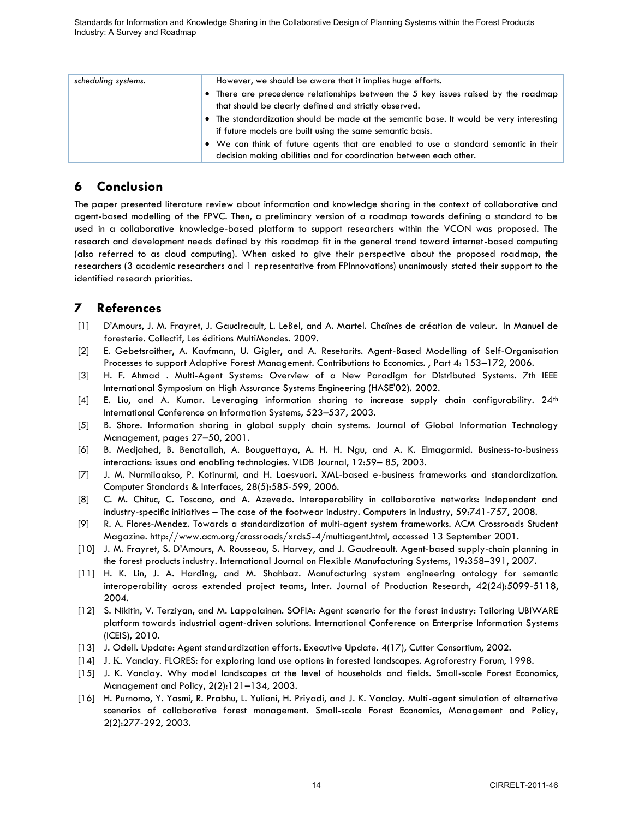| scheduling systems. | However, we should be aware that it implies huge efforts.                               |
|---------------------|-----------------------------------------------------------------------------------------|
|                     | • There are precedence relationships between the 5 key issues raised by the roadmap     |
|                     | that should be clearly defined and strictly observed.                                   |
|                     | • The standardization should be made at the semantic base. It would be very interesting |
|                     | if future models are built using the same semantic basis.                               |
|                     | • We can think of future agents that are enabled to use a standard semantic in their    |
|                     | decision making abilities and for coordination between each other.                      |

# **6 Conclusion**

The paper presented literature review about information and knowledge sharing in the context of collaborative and agent-based modelling of the FPVC. Then, a preliminary version of a roadmap towards defining a standard to be used in a collaborative knowledge-based platform to support researchers within the VCON was proposed. The research and development needs defined by this roadmap fit in the general trend toward internet-based computing (also referred to as cloud computing). When asked to give their perspective about the proposed roadmap, the researchers (3 academic researchers and 1 representative from FPInnovations) unanimously stated their support to the identified research priorities.

# **7 References**

- <span id="page-15-0"></span>[1] D"Amours, J. M. Frayret, J. Gauclreault, L. LeBel, and A. Martel. Chaînes de création de valeur. In Manuel de foresterie. Collectif, Les éditions MultiMondes. 2009.
- [2] E. Gebetsroither, A. Kaufmann, U. Gigler, and A. Resetarits. Agent-Based Modelling of Self-Organisation Processes to support Adaptive Forest Management. Contributions to Economics. , Part 4: 153–172, 2006.
- <span id="page-15-1"></span>[3] H. F. Ahmad . Multi-Agent Systems: Overview of a New Paradigm for Distributed Systems. 7th IEEE International Symposium on High Assurance Systems Engineering (HASE'02). 2002.
- $[4]$  E. Liu, and A. Kumar. Leveraging information sharing to increase supply chain configurability.  $24<sup>th</sup>$ International Conference on Information Systems, 523–537, 2003.
- <span id="page-15-2"></span>[5] B. Shore. Information sharing in global supply chain systems. Journal of Global Information Technology Management, pages 27–50, 2001.
- <span id="page-15-3"></span>[6] B. Medjahed, B. Benatallah, A. Bouguettaya, A. H. H. Ngu, and A. K. Elmagarmid. Business-to-business interactions: issues and enabling technologies. VLDB Journal, 12:59– 85, 2003.
- <span id="page-15-5"></span>[7] J. M. Nurmilaakso, P. Kotinurmi, and H. Laesvuori. XML-based e-business frameworks and standardization. Computer Standards & Interfaces, 28(5):585-599, 2006.
- <span id="page-15-6"></span>[8] C. M. Chituc, C. Toscano, and A. Azevedo. Interoperability in collaborative networks: Independent and industry-specific initiatives – The case of the footwear industry. Computers in Industry, 59:741-757, 2008.
- <span id="page-15-7"></span>[9] R. A. Flores-Mendez. Towards a standardization of multi-agent system frameworks. ACM Crossroads Student Magazine. http://www.acm.org/crossroads/xrds5-4/multiagent.html, accessed 13 September 2001.
- <span id="page-15-8"></span>[10] J. M. Frayret, S. D"Amours, A. Rousseau, S. Harvey, and J. Gaudreault. Agent-based supply-chain planning in the forest products industry. International Journal on Flexible Manufacturing Systems, 19:358–391, 2007.
- [11] H. K. Lin, J. A. Harding, and M. Shahbaz. Manufacturing system engineering ontology for semantic interoperability across extended project teams, Inter. Journal of Production Research, 42(24):5099-5118, 2004.
- [12] S. Nikitin, V. Terziyan, and M. Lappalainen. SOFIA: Agent scenario for the forest industry: Tailoring UBIWARE platform towards industrial agent-driven solutions. International Conference on Enterprise Information Systems (ICEIS), 2010.
- <span id="page-15-4"></span>[13] J. Odell. Update: Agent standardization efforts. Executive Update. 4(17), Cutter Consortium, 2002.
- <span id="page-15-9"></span>[14] J. K. Vanclay. FLORES: for exploring land use options in forested landscapes. Agroforestry Forum, 1998.
- [15] J. K. Vanclay. Why model landscapes at the level of households and fields. Small-scale Forest Economics, Management and Policy, 2(2):121–134, 2003.
- <span id="page-15-10"></span>[16] H. Purnomo, Y. Yasmi, R. Prabhu, L. Yuliani, H. Priyadi, and J. K. Vanclay. Multi-agent simulation of alternative scenarios of collaborative forest management. Small-scale Forest Economics, Management and Policy, 2(2):277-292, 2003.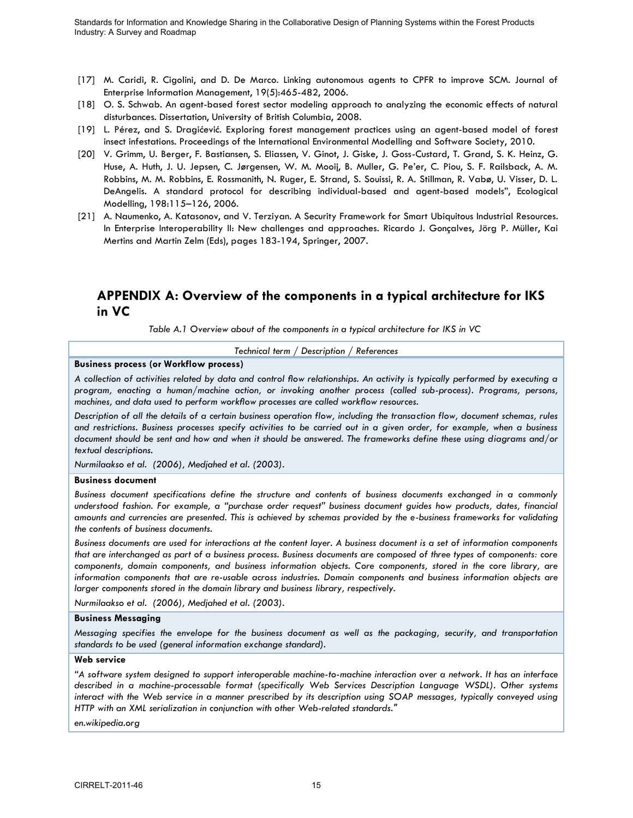- <span id="page-16-2"></span>[17] M. Caridi, R. Cigolini, and D. De Marco. Linking autonomous agents to CPFR to improve SCM. Journal of Enterprise Information Management, 19(5):465-482, 2006.
- <span id="page-16-3"></span>[18] O. S. Schwab. An agent-based forest sector modeling approach to analyzing the economic effects of natural disturbances. Dissertation, University of British Columbia, 2008.
- <span id="page-16-4"></span>[19] L. Pérez, and S. Dragićević. Exploring forest management practices using an agent-based model of forest insect infestations. Proceedings of the International Environmental Modelling and Software Society, 2010.
- <span id="page-16-0"></span>[20] V. Grimm, U. Berger, F. Bastiansen, S. Eliassen, V. Ginot, J. Giske, J. Goss-Custard, T. Grand, S. K. Heinz, G. Huse, A. Huth, J. U. Jepsen, C. Jørgensen, W. M. Mooij, B. Muller, G. Pe"er, C. Piou, S. F. Railsback, A. M. Robbins, M. M. Robbins, E. Rossmanith, N. Ruger, E. Strand, S. Souissi, R. A. Stillman, R. Vabø, U. Visser, D. L. DeAngelis. A standard protocol for describing individual-based and agent-based models", Ecological Modelling, 198:115–126, 2006.
- <span id="page-16-1"></span>[21] A. Naumenko, A. Katasonov, and V. Terziyan. A Security Framework for Smart Ubiquitous Industrial Resources. In Enterprise Interoperability II: New challenges and approaches. Ricardo J. Gonçalves, Jörg P. Müller, Kai Mertins and Martin Zelm (Eds), pages 183-194, Springer, 2007.

# **APPENDIX A: Overview of the components in a typical architecture for IKS in VC**

*Table A.1 Overview about of the components in a typical architecture for IKS in VC* 

*Technical term / Description / References*

#### **Business process (or Workflow process)**

*A collection of activities related by data and control flow relationships. An activity is typically performed by executing a program, enacting a human/machine action, or invoking another process (called sub-process). Programs, persons, machines, and data used to perform workflow processes are called workflow resources.*

*Description of all the details of a certain business operation flow, including the transaction flow, document schemas, rules and restrictions. Business processes specify activities to be carried out in a given order, for example, when a business document should be sent and how and when it should be answered. The frameworks define these using diagrams and/or textual descriptions.*

*Nurmilaakso et al. (2006), Medjahed et al. (2003).*

#### **Business document**

*Business document specifications define the structure and contents of business documents exchanged in a commonly understood fashion. For example, a "purchase order request" business document guides how products, dates, financial amounts and currencies are presented. This is achieved by schemas provided by the e-business frameworks for validating the contents of business documents.* 

*Business documents are used for interactions at the content layer. A business document is a set of information components that are interchanged as part of a business process. Business documents are composed of three types of components: core components, domain components, and business information objects. Core components, stored in the core library, are information components that are re-usable across industries. Domain components and business information objects are larger components stored in the domain library and business library, respectively.*

*Nurmilaakso et al. (2006), Medjahed et al. (2003).*

### **Business Messaging**

*Messaging specifies the envelope for the business document as well as the packaging, security, and transportation standards to be used (general information exchange standard).*

#### **Web service**

*"A software system designed to support [interoperable](http://en.wikipedia.org/wiki/Interoperability) [machine-to-machine](http://en.wikipedia.org/wiki/Machine-to-Machine) interaction over a [network.](http://en.wikipedia.org/wiki/Computer_network) It has an interface described in a machine-processable format (specifically Web Services Description Language [WSDL\)](http://en.wikipedia.org/wiki/Web_Services_Description_Language). Other systems interact with the Web service in a manner prescribed by its description using [SOAP](http://en.wikipedia.org/wiki/SOAP) messages, typically conveyed using HTTP with an XML serialization in conjunction with other Web-related standards."*

*en.wikipedia.org*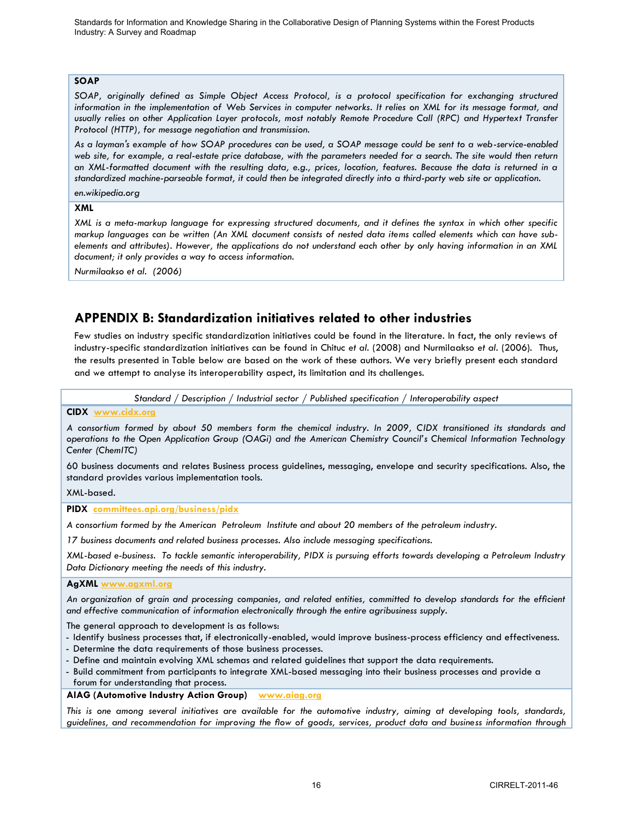## **SOAP**

*SOAP, originally defined as Simple Object Access Protocol, is a [protocol](http://en.wikipedia.org/wiki/Protocol_%28computing%29) specification for exchanging structured information in the implementation of [Web Services](http://en.wikipedia.org/wiki/Web_Service) in [computer networks.](http://en.wikipedia.org/wiki/Computer_network) It relies on XML for its message format, and usually relies on other [Application Layer](http://en.wikipedia.org/wiki/Application_Layer) protocols, most notably [Remote Procedure Call](http://en.wikipedia.org/wiki/Remote_Procedure_Call) (RPC) and [Hypertext Transfer](http://en.wikipedia.org/wiki/Hypertext_Transfer_Protocol)  [Protocol](http://en.wikipedia.org/wiki/Hypertext_Transfer_Protocol) (HTTP), for message negotiation and transmission.* 

*As a layman's example of how SOAP procedures can be used, a SOAP message could be sent to a web-service-enabled web site, for example, a real-estate price database, with the parameters needed for a search. The site would then return an XML-formatted document with the resulting data, e.g., prices, location, features. Because the data is returned in a standardized machine-parseable format, it could then be integrated directly into a third-party web site or application.*

### *en.wikipedia.org*

## **XML**

*XML is a meta-markup language for expressing structured documents, and it defines the syntax in which other specific markup languages can be written (An XML document consists of nested data items called elements which can have subelements and attributes). However, the applications do not understand each other by only having information in an XML document; it only provides a way to access information.*

*Nurmilaakso et al. (2006)*

# **APPENDIX B: Standardization initiatives related to other industries**

Few studies on industry specific standardization initiatives could be found in the literature. In fact, the only reviews of industry-specific standardization initiatives can be found in Chituc *et al.* (2008) and Nurmilaakso *et al.* (2006). Thus, the results presented in Table below are based on the work of these authors. We very briefly present each standard and we attempt to analyse its interoperability aspect, its limitation and its challenges.

*Standard / Description / Industrial sector / Published specification / Interoperability aspect*

#### **CIDX [www.cidx.org](http://www.cidx.org/)**

*A consortium formed by about 50 members form the chemical industry. In 2009, CIDX transitioned its standards and operations to the Open Application Group (OAGi) and the American Chemistry Council's Chemical Information Technology Center (ChemITC)*

60 business documents and relates Business process guidelines, messaging, envelope and security specifications. Also, the standard provides various implementation tools.

XML-based.

**PIDX [committees.api.org/business/pidx](http://committees.api.org/business/pidx)**

*A consortium formed by the American Petroleum Institute and about 20 members of the petroleum industry.*

*17 business documents and related business processes. Also include messaging specifications.* 

*XML-based e-business. To tackle semantic interoperability, PIDX is pursuing efforts towards developing a Petroleum Industry Data Dictionary meeting the needs of this industry.*

#### **AgXML [www.agxml.org](http://www.agxml.org/)**

*An organization of grain and processing companies, and related entities, committed to develop standards for the efficient and effective communication of information electronically through the entire agribusiness supply.*

The general approach to development is as follows:

- Identify business processes that, if electronically-enabled, would improve business-process efficiency and effectiveness.
- Determine the data requirements of those business processes.
- Define and maintain evolving XML schemas and related guidelines that support the data requirements.
- Build commitment from participants to integrate XML-based messaging into their business processes and provide a
- forum for understanding that process.

**AIAG (Automotive Industry Action Group) [www.aiag.org](http://www.aiag.org/)**

*This is one among several initiatives are available for the automotive industry, aiming at developing tools, standards, guidelines, and recommendation for improving the flow of goods, services, product data and business information through*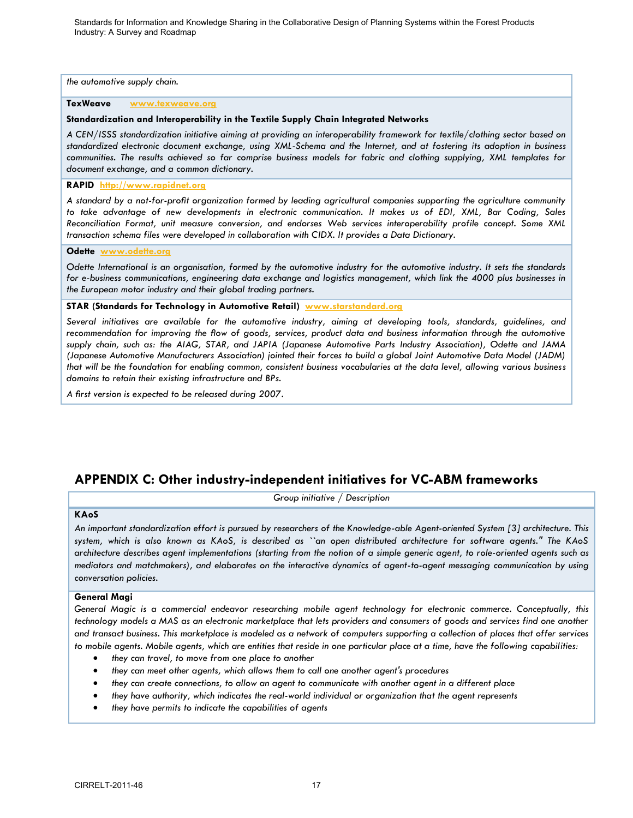*the automotive supply chain.*

### **TexWeave [www.texweave.org](http://www.texweave.org/)**

### **Standardization and Interoperability in the Textile Supply Chain Integrated Networks**

*A CEN/ISSS standardization initiative aiming at providing an interoperability framework for textile/clothing sector based on standardized electronic document exchange, using XML-Schema and the Internet, and at fostering its adoption in business communities. The results achieved so far comprise business models for fabric and clothing supplying, XML templates for document exchange, and a common dictionary.*

### **RAPID [http://www.rapidnet.org](http://www.rapidnet.org/)**

*A standard by a not-for-profit organization formed by leading agricultural companies supporting the agriculture community to take advantage of new developments in electronic communication. It makes us of EDI, XML, Bar Coding, Sales Reconciliation Format, unit measure conversion, and endorses Web services interoperability profile concept. Some XML transaction schema files were developed in collaboration with CIDX. It provides a Data Dictionary.*

#### **Odette [www.odette.org](http://www.odette.org/)**

*Odette International is an organisation, formed by the automotive industry for the automotive industry. It sets the standards for e-business communications, engineering data exchange and logistics management, which link the 4000 plus businesses in the European motor industry and their global trading partners.*

### **STAR (Standards for Technology in Automotive Retail) [www.starstandard.org](http://www.starstandard.org/)**

*Several initiatives are available for the automotive industry, aiming at developing tools, standards, guidelines, and*  recommendation for improving the flow of goods, services, product data and business information through the automotive *supply chain, such as: the AIAG, STAR, and JAPIA (Japanese Automotive Parts Industry Association), Odette and JAMA (Japanese Automotive Manufacturers Association) jointed their forces to build a global Joint Automotive Data Model (JADM) that will be the foundation for enabling common, consistent business vocabularies at the data level, allowing various business domains to retain their existing infrastructure and BPs.* 

*A first version is expected to be released during 2007.*

# **APPENDIX C: Other industry-independent initiatives for VC-ABM frameworks**

*Group initiative / Description*

#### **KAoS**

*An important standardization effort is pursued by researchers of the Knowledge-able Agent-oriented System [3] architecture. This system, which is also known as KAoS, is described as ``an open distributed architecture for software agents.'' The KAoS architecture describes agent implementations (starting from the notion of a simple generic agent, to role-oriented agents such as mediators and matchmakers), and elaborates on the interactive dynamics of agent-to-agent messaging communication by using conversation policies.*

#### **General Magi**

*General Magic is a commercial endeavor researching mobile agent technology for electronic commerce. Conceptually, this technology models a MAS as an electronic marketplace that lets providers and consumers of goods and services find one another and transact business. This marketplace is modeled as a network of computers supporting a collection of places that offer services to mobile agents. Mobile agents, which are entities that reside in one particular place at a time, have the following capabilities:* 

- *they can travel, to move from one place to another*
- *they can meet other agents, which allows them to call one another agent's procedures*
- *they can create connections, to allow an agent to communicate with another agent in a different place*
- *they have authority, which indicates the real-world individual or organization that the agent represents*
- *they have permits to indicate the capabilities of agents*